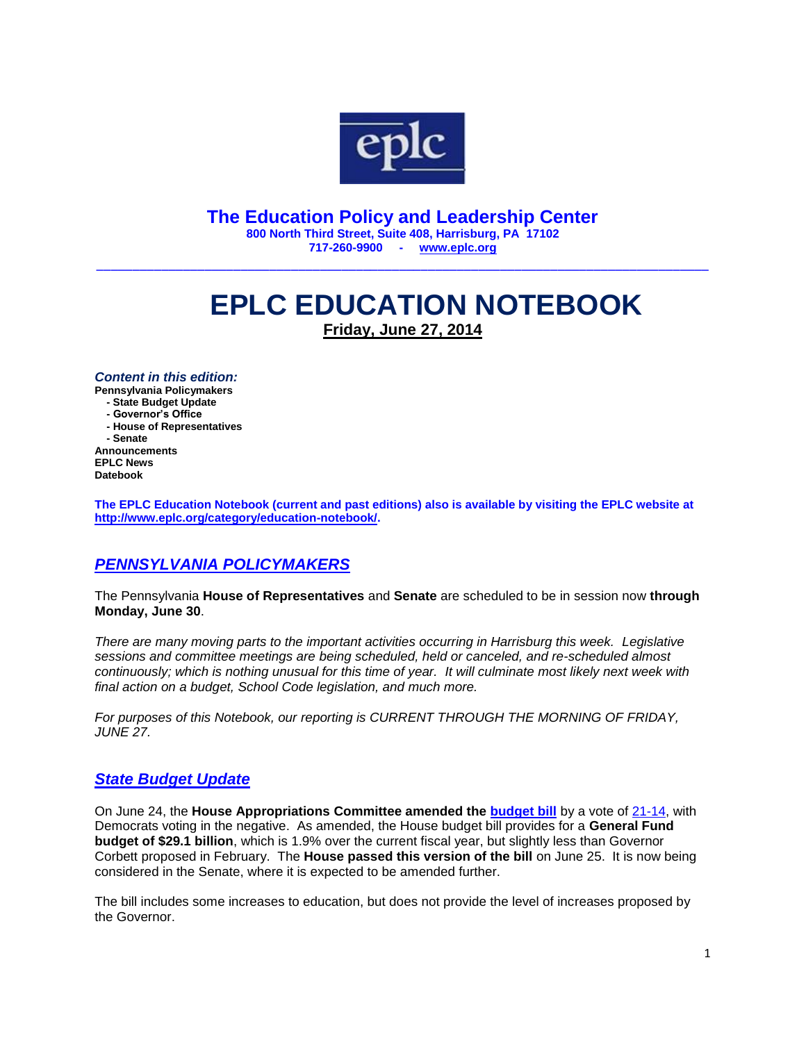

**The Education Policy and Leadership Center 800 North Third Street, Suite 408, Harrisburg, PA 17102 717-260-9900 - [www.eplc.org](http://www.eplc.org/)**

\_\_\_\_\_\_\_\_\_\_\_\_\_\_\_\_\_\_\_\_\_\_\_\_\_\_\_\_\_\_\_\_\_\_\_\_\_\_\_\_\_\_\_\_\_\_\_\_\_\_\_\_\_\_\_\_\_\_\_\_\_\_\_\_\_\_\_\_\_\_\_\_\_\_\_\_\_\_\_\_\_\_\_\_\_

# **EPLC EDUCATION NOTEBOOK Friday, June 27, 2014**

*Content in this edition:*

**Pennsylvania Policymakers**

 **- State Budget Update**

 **- Governor's Office**

 **- House of Representatives - Senate Announcements EPLC News**

**Datebook**

**The EPLC Education Notebook (current and past editions) also is available by visiting the EPLC website at [http://www.eplc.org/category/education-notebook/.](http://www.eplc.org/category/education-notebook/)**

# *PENNSYLVANIA POLICYMAKERS*

The Pennsylvania **House of Representatives** and **Senate** are scheduled to be in session now **through Monday, June 30**.

*There are many moving parts to the important activities occurring in Harrisburg this week. Legislative sessions and committee meetings are being scheduled, held or canceled, and re-scheduled almost continuously; which is nothing unusual for this time of year. It will culminate most likely next week with final action on a budget, School Code legislation, and much more.* 

*For purposes of this Notebook, our reporting is CURRENT THROUGH THE MORNING OF FRIDAY, JUNE 27.*

## *State Budget Update*

On June 24, the **House Appropriations Committee amended the [budget bill](http://www.legis.state.pa.us/cfdocs/billInfo/billInfo.cfm?sYear=2013&sInd=0&body=H&type=B&bn=2328)** by a vote of [21-14,](http://www.legis.state.pa.us/cfdocs/legis/RCC/PUBLIC/listVoteSummaryH.cfm?sYear=2013&sInd=0&cteeCde=4&theDate=06/24/2014&rNbr=2068) with Democrats voting in the negative. As amended, the House budget bill provides for a **General Fund budget of \$29.1 billion**, which is 1.9% over the current fiscal year, but slightly less than Governor Corbett proposed in February. The **House passed this version of the bill** on June 25. It is now being considered in the Senate, where it is expected to be amended further.

The bill includes some increases to education, but does not provide the level of increases proposed by the Governor.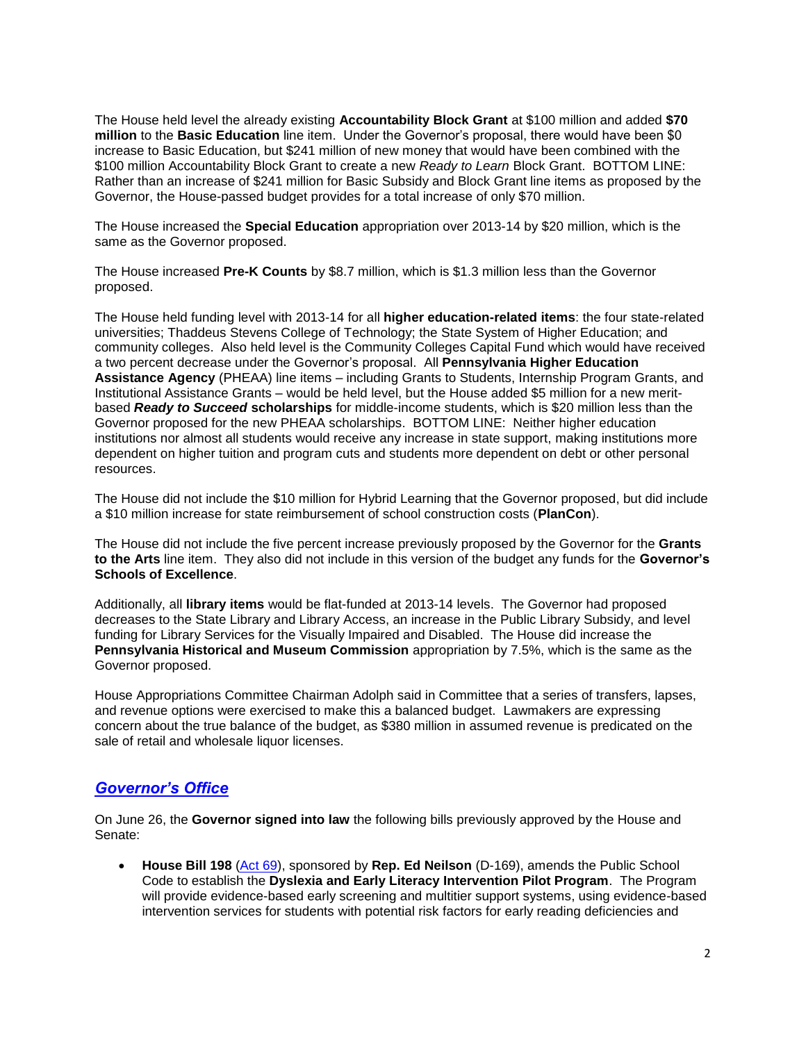The House held level the already existing **Accountability Block Grant** at \$100 million and added **\$70 million** to the **Basic Education** line item. Under the Governor's proposal, there would have been \$0 increase to Basic Education, but \$241 million of new money that would have been combined with the \$100 million Accountability Block Grant to create a new *Ready to Learn* Block Grant. BOTTOM LINE: Rather than an increase of \$241 million for Basic Subsidy and Block Grant line items as proposed by the Governor, the House-passed budget provides for a total increase of only \$70 million.

The House increased the **Special Education** appropriation over 2013-14 by \$20 million, which is the same as the Governor proposed.

The House increased **Pre-K Counts** by \$8.7 million, which is \$1.3 million less than the Governor proposed.

The House held funding level with 2013-14 for all **higher education-related items**: the four state-related universities; Thaddeus Stevens College of Technology; the State System of Higher Education; and community colleges. Also held level is the Community Colleges Capital Fund which would have received a two percent decrease under the Governor's proposal. All **Pennsylvania Higher Education Assistance Agency** (PHEAA) line items – including Grants to Students, Internship Program Grants, and Institutional Assistance Grants – would be held level, but the House added \$5 million for a new meritbased *Ready to Succeed* **scholarships** for middle-income students, which is \$20 million less than the Governor proposed for the new PHEAA scholarships. BOTTOM LINE: Neither higher education institutions nor almost all students would receive any increase in state support, making institutions more dependent on higher tuition and program cuts and students more dependent on debt or other personal resources.

The House did not include the \$10 million for Hybrid Learning that the Governor proposed, but did include a \$10 million increase for state reimbursement of school construction costs (**PlanCon**).

The House did not include the five percent increase previously proposed by the Governor for the **Grants to the Arts** line item. They also did not include in this version of the budget any funds for the **Governor's Schools of Excellence**.

Additionally, all **library items** would be flat-funded at 2013-14 levels. The Governor had proposed decreases to the State Library and Library Access, an increase in the Public Library Subsidy, and level funding for Library Services for the Visually Impaired and Disabled. The House did increase the **Pennsylvania Historical and Museum Commission** appropriation by 7.5%, which is the same as the Governor proposed.

House Appropriations Committee Chairman Adolph said in Committee that a series of transfers, lapses, and revenue options were exercised to make this a balanced budget. Lawmakers are expressing concern about the true balance of the budget, as \$380 million in assumed revenue is predicated on the sale of retail and wholesale liquor licenses.

## *Governor's Office*

On June 26, the **Governor signed into law** the following bills previously approved by the House and Senate:

 **House Bill 198** [\(Act 69\)](http://www.legis.state.pa.us/cfdocs/billInfo/billInfo.cfm?sYear=2013&sInd=0&body=H&type=B&bn=0198), sponsored by **Rep. Ed Neilson** (D-169), amends the Public School Code to establish the **Dyslexia and Early Literacy Intervention Pilot Program**. The Program will provide evidence-based early screening and multitier support systems, using evidence-based intervention services for students with potential risk factors for early reading deficiencies and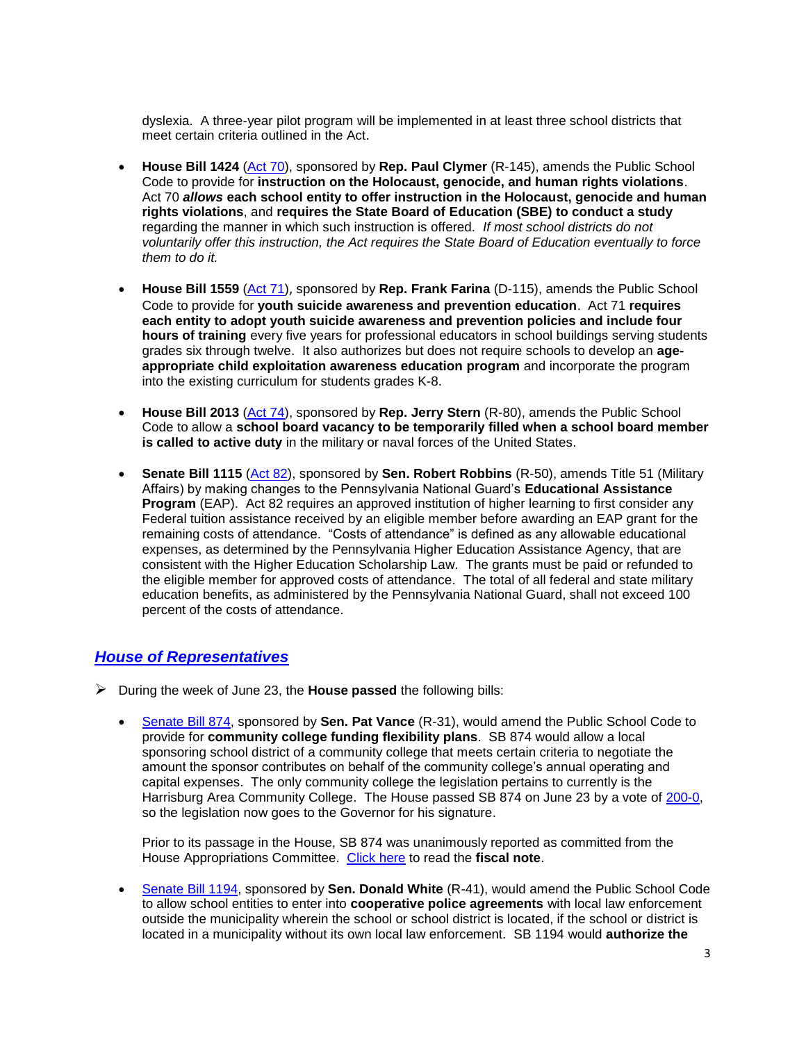dyslexia. A three-year pilot program will be implemented in at least three school districts that meet certain criteria outlined in the Act.

- **House Bill 1424** [\(Act 70\)](http://www.legis.state.pa.us/cfdocs/billInfo/billInfo.cfm?sYear=2013&sInd=0&body=H&type=B&bn=1424), sponsored by **Rep. Paul Clymer** (R-145), amends the Public School Code to provide for **instruction on the Holocaust, genocide, and human rights violations**. Act 70 *allows* **each school entity to offer instruction in the Holocaust, genocide and human rights violations**, and **requires the State Board of Education (SBE) to conduct a study**  regarding the manner in which such instruction is offered. *If most school districts do not voluntarily offer this instruction, the Act requires the State Board of Education eventually to force them to do it.*
- **House Bill 1559** [\(Act](http://www.legis.state.pa.us/cfdocs/billInfo/billInfo.cfm?sYear=2013&sInd=0&body=H&type=B&bn=1559) 71), sponsored by **Rep. Frank Farina** (D-115), amends the Public School Code to provide for **youth suicide awareness and prevention education**. Act 71 **requires each entity to adopt youth suicide awareness and prevention policies and include four hours of training** every five years for professional educators in school buildings serving students grades six through twelve. It also authorizes but does not require schools to develop an **ageappropriate child exploitation awareness education program** and incorporate the program into the existing curriculum for students grades K-8.
- **House Bill 2013** [\(Act 74\)](http://www.legis.state.pa.us/cfdocs/billInfo/BillInfo.cfm?syear=2013&sind=0&body=H&type=B&bn=2013), sponsored by **Rep. Jerry Stern** (R-80), amends the Public School Code to allow a **school board vacancy to be temporarily filled when a school board member is called to active duty** in the military or naval forces of the United States.
- **Senate Bill 1115** [\(Act 82\)](http://www.legis.state.pa.us/cfdocs/billInfo/BillInfo.cfm?syear=2013&sind=0&body=S&type=B&bn=1115), sponsored by **Sen. Robert Robbins** (R-50), amends Title 51 (Military Affairs) by making changes to the Pennsylvania National Guard's **Educational Assistance Program** (EAP). Act 82 requires an approved institution of higher learning to first consider any Federal tuition assistance received by an eligible member before awarding an EAP grant for the remaining costs of attendance. "Costs of attendance" is defined as any allowable educational expenses, as determined by the Pennsylvania Higher Education Assistance Agency, that are consistent with the Higher Education Scholarship Law. The grants must be paid or refunded to the eligible member for approved costs of attendance. The total of all federal and state military education benefits, as administered by the Pennsylvania National Guard, shall not exceed 100 percent of the costs of attendance.

#### *House of Representatives*

- During the week of June 23, the **House passed** the following bills:
	- [Senate Bill 874,](http://www.legis.state.pa.us/cfdocs/billInfo/billInfo.cfm?sYear=2013&sInd=0&body=S&type=B&bn=0874) sponsored by **Sen. Pat Vance** (R-31), would amend the Public School Code to provide for **community college funding flexibility plans**. SB 874 would allow a local sponsoring school district of a community college that meets certain criteria to negotiate the amount the sponsor contributes on behalf of the community college's annual operating and capital expenses. The only community college the legislation pertains to currently is the Harrisburg Area Community College. The House passed SB 874 on June 23 by a vote of [200-0,](http://www.legis.state.pa.us/CFDOCS/Legis/RC/Public/rc_view_action2.cfm?sess_yr=2013&sess_ind=0&rc_body=H&rc_nbr=1452) so the legislation now goes to the Governor for his signature.

Prior to its passage in the House, SB 874 was unanimously reported as committed from the House Appropriations Committee. [Click here](http://www.legis.state.pa.us/WU01/LI/BI/FN/2013/0/SB0874P0969.pdf) to read the **fiscal note**.

 [Senate Bill 1194,](http://www.legis.state.pa.us/cfdocs/billInfo/billInfo.cfm?sYear=2013&sInd=0&body=S&type=B&bn=1194) sponsored by **Sen. Donald White** (R-41), would amend the Public School Code to allow school entities to enter into **cooperative police agreements** with local law enforcement outside the municipality wherein the school or school district is located, if the school or district is located in a municipality without its own local law enforcement. SB 1194 would **authorize the**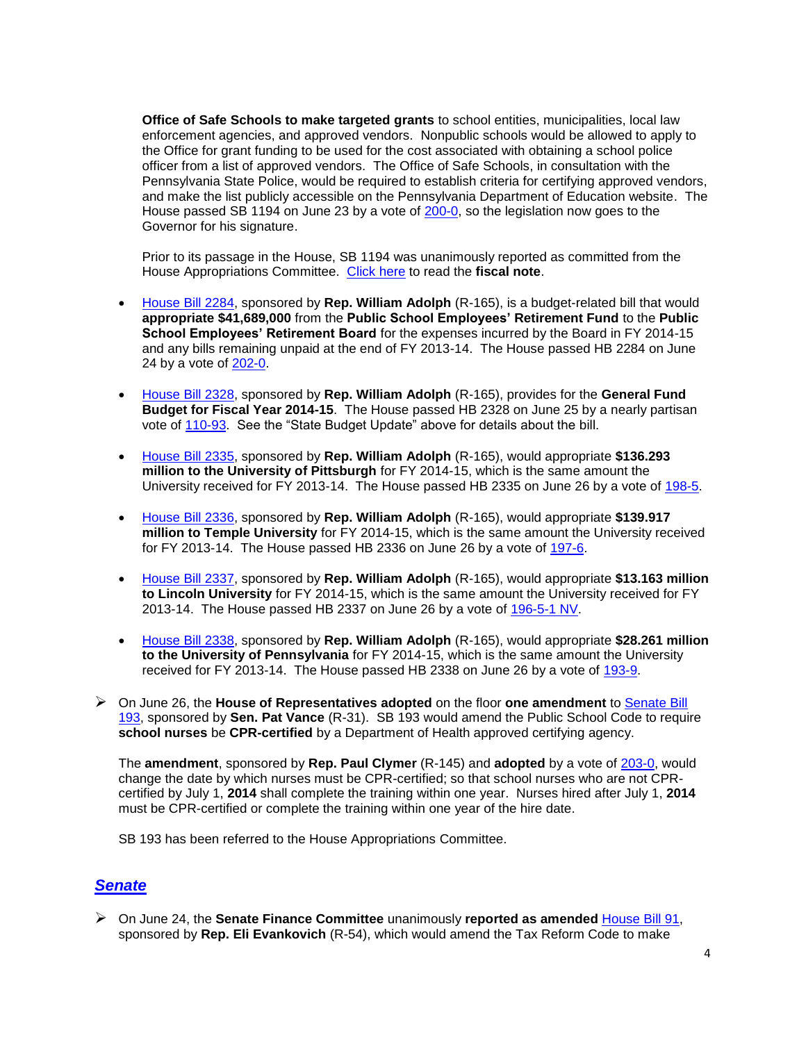**Office of Safe Schools to make targeted grants** to school entities, municipalities, local law enforcement agencies, and approved vendors. Nonpublic schools would be allowed to apply to the Office for grant funding to be used for the cost associated with obtaining a school police officer from a list of approved vendors. The Office of Safe Schools, in consultation with the Pennsylvania State Police, would be required to establish criteria for certifying approved vendors, and make the list publicly accessible on the Pennsylvania Department of Education website. The House passed SB 1194 on June 23 by a vote of [200-0,](http://www.legis.state.pa.us/CFDOCS/Legis/RC/Public/rc_view_action2.cfm?sess_yr=2013&sess_ind=0&rc_body=H&rc_nbr=1453) so the legislation now goes to the Governor for his signature.

Prior to its passage in the House, SB 1194 was unanimously reported as committed from the House Appropriations Committee. [Click here](http://www.legis.state.pa.us/WU01/LI/BI/FN/2013/0/SB1194P2127.pdf) to read the **fiscal note**.

- [House Bill 2284,](http://www.legis.state.pa.us/cfdocs/billInfo/billInfo.cfm?sYear=2013&sInd=0&body=H&type=B&bn=2284) sponsored by **Rep. William Adolph** (R-165), is a budget-related bill that would **appropriate \$41,689,000** from the **Public School Employees' Retirement Fund** to the **Public School Employees' Retirement Board** for the expenses incurred by the Board in FY 2014-15 and any bills remaining unpaid at the end of FY 2013-14. The House passed HB 2284 on June 24 by a vote of [202-0.](http://www.legis.state.pa.us/CFDOCS/Legis/RC/Public/rc_view_action2.cfm?sess_yr=2013&sess_ind=0&rc_body=H&rc_nbr=1469)
- [House Bill 2328,](http://www.legis.state.pa.us/cfdocs/billInfo/billInfo.cfm?sYear=2013&sInd=0&body=H&type=B&bn=2328) sponsored by **Rep. William Adolph** (R-165), provides for the **General Fund Budget for Fiscal Year 2014-15**. The House passed HB 2328 on June 25 by a nearly partisan vote of [110-93.](http://www.legis.state.pa.us/CFDOCS/Legis/RC/Public/rc_view_action2.cfm?sess_yr=2013&sess_ind=0&rc_body=H&rc_nbr=1488) See the "State Budget Update" above for details about the bill.
- [House Bill 2335,](http://www.legis.state.pa.us/cfdocs/billInfo/billInfo.cfm?sYear=2013&sInd=0&body=H&type=B&bn=2335) sponsored by **Rep. William Adolph** (R-165), would appropriate **\$136.293 million to the University of Pittsburgh** for FY 2014-15, which is the same amount the University received for FY 2013-14. The House passed HB 2335 on June 26 by a vote of [198-5.](http://www.legis.state.pa.us/CFDOCS/Legis/RC/Public/rc_view_action2.cfm?sess_yr=2013&sess_ind=0&rc_body=H&rc_nbr=1501)
- [House Bill 2336,](http://www.legis.state.pa.us/cfdocs/billInfo/billInfo.cfm?sYear=2013&sInd=0&body=H&type=B&bn=2336) sponsored by **Rep. William Adolph** (R-165), would appropriate **\$139.917 million to Temple University** for FY 2014-15, which is the same amount the University received for FY 2013-14. The House passed HB 2336 on June 26 by a vote of [197-6.](http://www.legis.state.pa.us/CFDOCS/Legis/RC/Public/rc_view_action2.cfm?sess_yr=2013&sess_ind=0&rc_body=H&rc_nbr=1502)
- [House Bill 2337,](http://www.legis.state.pa.us/cfdocs/billInfo/billInfo.cfm?sYear=2013&sInd=0&body=H&type=B&bn=2337) sponsored by **Rep. William Adolph** (R-165), would appropriate **\$13.163 million to Lincoln University** for FY 2014-15, which is the same amount the University received for FY 2013-14. The House passed HB 2337 on June 26 by a vote of [196-5-1 NV.](http://www.legis.state.pa.us/CFDOCS/Legis/RC/Public/rc_view_action2.cfm?sess_yr=2013&sess_ind=0&rc_body=H&rc_nbr=1503)
- [House Bill 2338,](http://www.legis.state.pa.us/cfdocs/billInfo/billInfo.cfm?sYear=2013&sInd=0&body=H&type=B&bn=2338) sponsored by **Rep. William Adolph** (R-165), would appropriate **\$28.261 million to the University of Pennsylvania** for FY 2014-15, which is the same amount the University received for FY 2013-14. The House passed HB 2338 on June 26 by a vote of [193-9.](http://www.legis.state.pa.us/CFDOCS/Legis/RC/Public/rc_view_action2.cfm?sess_yr=2013&sess_ind=0&rc_body=H&rc_nbr=1504)
- On June 26, the **House of Representatives adopted** on the floor **one amendment** to [Senate Bill](http://www.legis.state.pa.us/cfdocs/billInfo/billInfo.cfm?sYear=2013&sInd=0&body=S&type=B&bn=0193)  [193,](http://www.legis.state.pa.us/cfdocs/billInfo/billInfo.cfm?sYear=2013&sInd=0&body=S&type=B&bn=0193) sponsored by **Sen. Pat Vance** (R-31). SB 193 would amend the Public School Code to require **school nurses** be **CPR-certified** by a Department of Health approved certifying agency.

The **amendment**, sponsored by **Rep. Paul Clymer** (R-145) and **adopted** by a vote of [203-0,](http://www.legis.state.pa.us/CFDOCS/Legis/RC/Public/rc_view_action2.cfm?sess_yr=2013&sess_ind=0&rc_body=H&rc_nbr=1493) would change the date by which nurses must be CPR-certified; so that school nurses who are not CPRcertified by July 1, **2014** shall complete the training within one year. Nurses hired after July 1, **2014** must be CPR-certified or complete the training within one year of the hire date.

SB 193 has been referred to the House Appropriations Committee.

## *Senate*

 On June 24, the **Senate Finance Committee** unanimously **reported as amended** [House Bill 91,](http://www.legis.state.pa.us/cfdocs/billInfo/BillInfo.cfm?syear=2013&sind=0&body=H&type=B&bn=91) sponsored by **Rep. Eli Evankovich** (R-54), which would amend the Tax Reform Code to make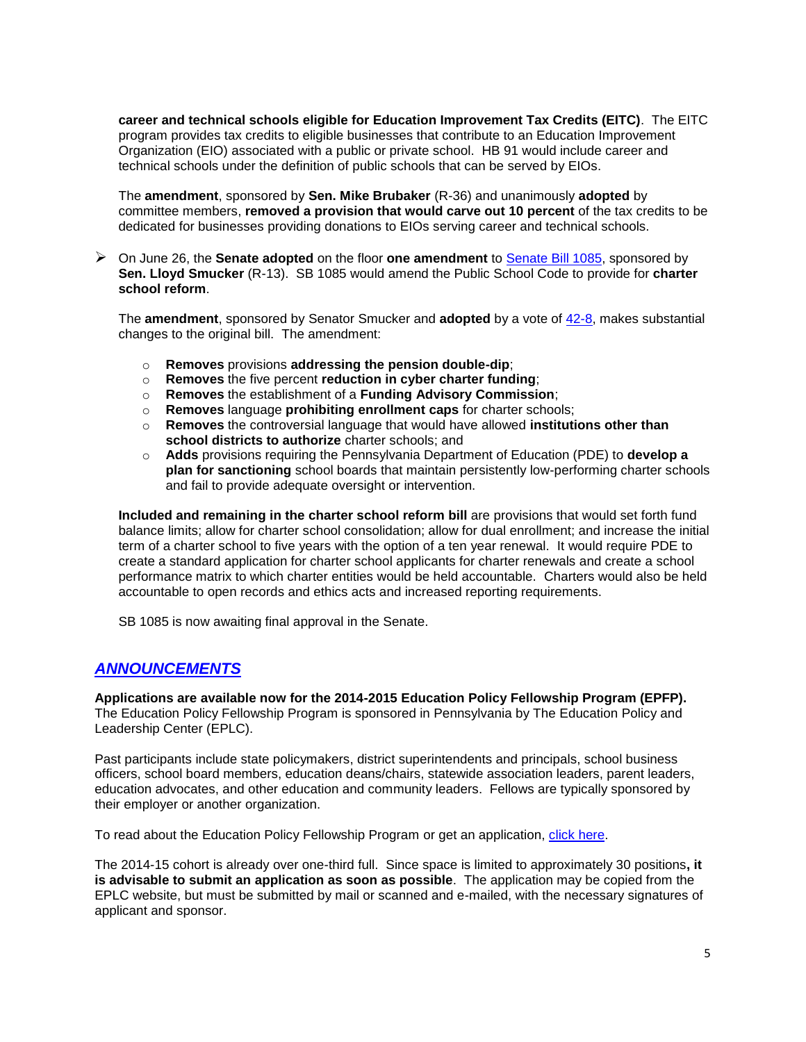**career and technical schools eligible for Education Improvement Tax Credits (EITC)**. The EITC program provides tax credits to eligible businesses that contribute to an Education Improvement Organization (EIO) associated with a public or private school. HB 91 would include career and technical schools under the definition of public schools that can be served by EIOs.

The **amendment**, sponsored by **Sen. Mike Brubaker** (R-36) and unanimously **adopted** by committee members, **removed a provision that would carve out 10 percent** of the tax credits to be dedicated for businesses providing donations to EIOs serving career and technical schools.

 On June 26, the **Senate adopted** on the floor **one amendment** to [Senate Bill 1085,](http://www.legis.state.pa.us/cfdocs/billInfo/billInfo.cfm?sYear=2013&sInd=0&body=S&type=B&bn=1085) sponsored by **Sen. Lloyd Smucker** (R-13). SB 1085 would amend the Public School Code to provide for **charter school reform**.

The **amendment**, sponsored by Senator Smucker and **adopted** by a vote of [42-8,](http://www.legis.state.pa.us/CFDOCS/Legis/RC/Public/rc_view_action2.cfm?sess_yr=2013&sess_ind=0&rc_body=S&rc_nbr=600) makes substantial changes to the original bill. The amendment:

- o **Removes** provisions **addressing the pension double-dip**;
- o **Removes** the five percent **reduction in cyber charter funding**;
- o **Removes** the establishment of a **Funding Advisory Commission**;
- o **Removes** language **prohibiting enrollment caps** for charter schools;
- o **Removes** the controversial language that would have allowed **institutions other than school districts to authorize** charter schools; and
- o **Adds** provisions requiring the Pennsylvania Department of Education (PDE) to **develop a plan for sanctioning** school boards that maintain persistently low-performing charter schools and fail to provide adequate oversight or intervention.

**Included and remaining in the charter school reform bill** are provisions that would set forth fund balance limits; allow for charter school consolidation; allow for dual enrollment; and increase the initial term of a charter school to five years with the option of a ten year renewal. It would require PDE to create a standard application for charter school applicants for charter renewals and create a school performance matrix to which charter entities would be held accountable. Charters would also be held accountable to open records and ethics acts and increased reporting requirements.

SB 1085 is now awaiting final approval in the Senate.

# *ANNOUNCEMENTS*

**Applications are available now for the 2014-2015 Education Policy Fellowship Program (EPFP).** The Education Policy Fellowship Program is sponsored in Pennsylvania by The Education Policy and Leadership Center (EPLC).

Past participants include state policymakers, district superintendents and principals, school business officers, school board members, education deans/chairs, statewide association leaders, parent leaders, education advocates, and other education and community leaders. Fellows are typically sponsored by their employer or another organization.

To read about the Education Policy Fellowship Program or get an application, [click here.](http://www.eplc.org/leadership-programs/education-policy-fellowship-program/about-the-program/)

The 2014-15 cohort is already over one-third full. Since space is limited to approximately 30 positions**, it is advisable to submit an application as soon as possible**. The application may be copied from the EPLC website, but must be submitted by mail or scanned and e-mailed, with the necessary signatures of applicant and sponsor.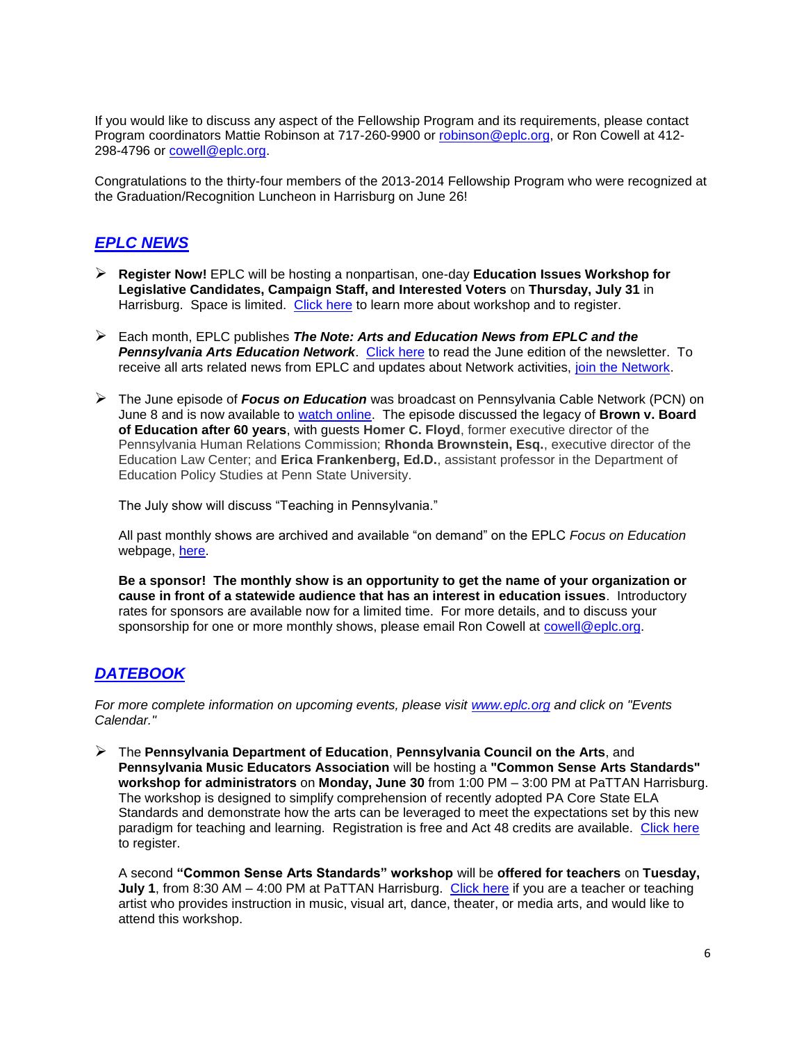If you would like to discuss any aspect of the Fellowship Program and its requirements, please contact Program coordinators Mattie Robinson at 717-260-9900 or [robinson@eplc.org,](mailto:robinson@eplc.org) or Ron Cowell at 412- 298-4796 or [cowell@eplc.org.](mailto:cowell@eplc.org)

Congratulations to the thirty-four members of the 2013-2014 Fellowship Program who were recognized at the Graduation/Recognition Luncheon in Harrisburg on June 26!

# *EPLC NEWS*

- **Register Now!** EPLC will be hosting a nonpartisan, one-day **Education Issues Workshop for Legislative Candidates, Campaign Staff, and Interested Voters** on **Thursday, July 31** in Harrisburg. Space is limited. [Click here](http://www.eplc.org/2014/06/register-now-july-31in-harrisburg-eplcs-education-issues-workshop-for-legislative-candidates-campaign-staff-and-interested-voters/) to learn more about workshop and to register.
- Each month, EPLC publishes *The Note: Arts and Education News from EPLC and the Pennsylvania Arts Education Network*. [Click here](http://myemail.constantcontact.com/The-Note--Arts-and-Education-News-from-EPLC---the-PA-Arts-Education-Network.html?soid=1103584053062&aid=PLo3-DgeB74) to read the June edition of the newsletter. To receive all arts related news from EPLC and updates about Network activities, [join the Network.](https://docs.google.com/forms/d/1fU9Bp8Bzrvsh_v5lTCkrCVAZm6dskUveCvgu3yJLffY/viewform)
- The June episode of *Focus on Education* was broadcast on Pennsylvania Cable Network (PCN) on June 8 and is now available to [watch online.](http://vimeo.com/97739096) The episode discussed the legacy of **Brown v. Board of Education after 60 years**, with guests **Homer C. Floyd**, former executive director of the Pennsylvania Human Relations Commission; **Rhonda Brownstein, Esq.**, executive director of the Education Law Center; and **Erica Frankenberg, Ed.D.**, assistant professor in the Department of Education Policy Studies at Penn State University.

The July show will discuss "Teaching in Pennsylvania."

All past monthly shows are archived and available "on demand" on the EPLC *Focus on Education* webpage, [here.](http://www.eplc.org/focus-on-education-episodes/)

**Be a sponsor! The monthly show is an opportunity to get the name of your organization or cause in front of a statewide audience that has an interest in education issues**. Introductory rates for sponsors are available now for a limited time. For more details, and to discuss your sponsorship for one or more monthly shows, please email Ron Cowell at [cowell@eplc.org.](mailto:cowell@eplc.org)

# *DATEBOOK*

*For more complete information on upcoming events, please visit [www.eplc.org](http://www.eplc.org/) and click on "Events Calendar."*

 The **Pennsylvania Department of Education**, **Pennsylvania Council on the Arts**, and **Pennsylvania Music Educators Association** will be hosting a **"Common Sense Arts Standards" workshop for administrators** on **Monday, June 30** from 1:00 PM – 3:00 PM at PaTTAN Harrisburg. The workshop is designed to simplify comprehension of recently adopted PA Core State ELA Standards and demonstrate how the arts can be leveraged to meet the expectations set by this new paradigm for teaching and learning. Registration is free and Act 48 credits are available. [Click here](http://www.pattan.net/category/Training/Calendar/event/event.html?id=90309628-bb78-401b-8b4e-8cc84ef2d1d5) to register.

A second **"Common Sense Arts Standards" workshop** will be **offered for teachers** on **Tuesday, July 1**, from 8:30 AM – 4:00 PM at PaTTAN Harrisburg. [Click here](http://www.pattan.net/category/Training/Calendar/event/event.html?id=86d02f97-43bd-414a-ab47-d5a1eb6e899b) if you are a teacher or teaching artist who provides instruction in music, visual art, dance, theater, or media arts, and would like to attend this workshop.